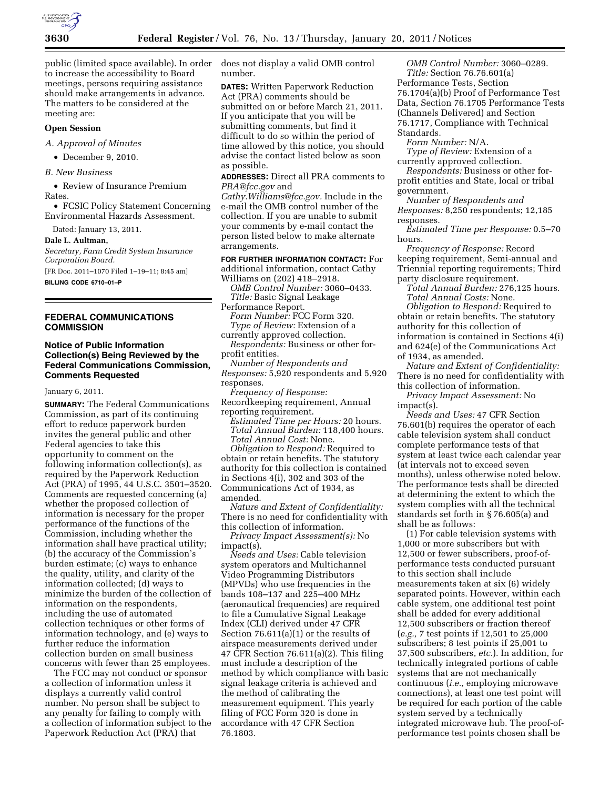

public (limited space available). In order to increase the accessibility to Board meetings, persons requiring assistance should make arrangements in advance. The matters to be considered at the meeting are:

### **Open Session**

*A. Approval of Minutes* 

• December 9, 2010.

*B. New Business* 

• Review of Insurance Premium Rates.

• FCSIC Policy Statement Concerning Environmental Hazards Assessment.

Dated: January 13, 2011.

**Dale L. Aultman,** 

*Secretary, Farm Credit System Insurance Corporation Board.* 

[FR Doc. 2011–1070 Filed 1–19–11; 8:45 am] **BILLING CODE 6710–01–P** 

# **FEDERAL COMMUNICATIONS COMMISSION**

## **Notice of Public Information Collection(s) Being Reviewed by the Federal Communications Commission, Comments Requested**

January 6, 2011.

**SUMMARY:** The Federal Communications Commission, as part of its continuing effort to reduce paperwork burden invites the general public and other Federal agencies to take this opportunity to comment on the following information collection(s), as required by the Paperwork Reduction Act (PRA) of 1995, 44 U.S.C. 3501–3520. Comments are requested concerning (a) whether the proposed collection of information is necessary for the proper performance of the functions of the Commission, including whether the information shall have practical utility; (b) the accuracy of the Commission's burden estimate; (c) ways to enhance the quality, utility, and clarity of the information collected; (d) ways to minimize the burden of the collection of information on the respondents, including the use of automated collection techniques or other forms of information technology, and (e) ways to further reduce the information collection burden on small business concerns with fewer than 25 employees.

The FCC may not conduct or sponsor a collection of information unless it displays a currently valid control number. No person shall be subject to any penalty for failing to comply with a collection of information subject to the Paperwork Reduction Act (PRA) that

does not display a valid OMB control number.

**DATES:** Written Paperwork Reduction Act (PRA) comments should be submitted on or before March 21, 2011. If you anticipate that you will be submitting comments, but find it difficult to do so within the period of time allowed by this notice, you should advise the contact listed below as soon as possible.

**ADDRESSES:** Direct all PRA comments to *[PRA@fcc.gov](mailto:PRA@fcc.gov)* and

*[Cathy.Williams@fcc.gov.](mailto:Cathy.Williams@fcc.gov)* Include in the e-mail the OMB control number of the collection. If you are unable to submit your comments by e-mail contact the person listed below to make alternate arrangements.

**FOR FURTHER INFORMATION CONTACT:** For additional information, contact Cathy Williams on (202) 418–2918.

*OMB Control Number:* 3060–0433. *Title:* Basic Signal Leakage Performance Report.

*Form Number:* FCC Form 320. *Type of Review:* Extension of a

currently approved collection. *Respondents:* Business or other forprofit entities.

*Number of Respondents and* 

*Responses:* 5,920 respondents and 5,920 responses.

*Frequency of Response:*  Recordkeeping requirement, Annual reporting requirement.

*Estimated Time per Hours:* 20 hours. *Total Annual Burden:* 118,400 hours. *Total Annual Cost:* None.

*Obligation to Respond:* Required to obtain or retain benefits. The statutory authority for this collection is contained in Sections 4(i), 302 and 303 of the Communications Act of 1934, as amended.

*Nature and Extent of Confidentiality:*  There is no need for confidentiality with this collection of information.

*Privacy Impact Assessment(s):* No impact(s).

*Needs and Uses:* Cable television system operators and Multichannel Video Programming Distributors (MPVDs) who use frequencies in the bands 108–137 and 225–400 MHz (aeronautical frequencies) are required to file a Cumulative Signal Leakage Index (CLI) derived under 47 CFR Section 76.611(a)(1) or the results of airspace measurements derived under 47 CFR Section 76.611(a)(2). This filing must include a description of the method by which compliance with basic signal leakage criteria is achieved and the method of calibrating the measurement equipment. This yearly filing of FCC Form 320 is done in accordance with 47 CFR Section 76.1803.

*OMB Control Number:* 3060–0289. *Title:* Section 76.76.601(a) Performance Tests, Section 76.1704(a)(b) Proof of Performance Test Data, Section 76.1705 Performance Tests (Channels Delivered) and Section 76.1717, Compliance with Technical Standards.

*Form Number:* N/A.

*Type of Review:* Extension of a currently approved collection.

*Respondents:* Business or other forprofit entities and State, local or tribal government.

*Number of Respondents and Responses:* 8,250 respondents; 12,185 responses.

*Estimated Time per Response:* 0.5–70 hours.

*Frequency of Response:* Record keeping requirement, Semi-annual and Triennial reporting requirements; Third party disclosure requirement.

*Total Annual Burden:* 276,125 hours. *Total Annual Costs:* None.

*Obligation to Respond:* Required to obtain or retain benefits. The statutory authority for this collection of information is contained in Sections 4(i) and 624(e) of the Communications Act of 1934, as amended.

*Nature and Extent of Confidentiality:*  There is no need for confidentiality with this collection of information.

*Privacy Impact Assessment:* No impact(s).

*Needs and Uses:* 47 CFR Section 76.601(b) requires the operator of each cable television system shall conduct complete performance tests of that system at least twice each calendar year (at intervals not to exceed seven months), unless otherwise noted below. The performance tests shall be directed at determining the extent to which the system complies with all the technical standards set forth in § 76.605(a) and shall be as follows:

(1) For cable television systems with 1,000 or more subscribers but with 12,500 or fewer subscribers, proof-ofperformance tests conducted pursuant to this section shall include measurements taken at six (6) widely separated points. However, within each cable system, one additional test point shall be added for every additional 12,500 subscribers or fraction thereof (*e.g.,* 7 test points if 12,501 to 25,000 subscribers; 8 test points if 25,001 to 37,500 subscribers, *etc.*). In addition, for technically integrated portions of cable systems that are not mechanically continuous (*i.e.,* employing microwave connections), at least one test point will be required for each portion of the cable system served by a technically integrated microwave hub. The proof-ofperformance test points chosen shall be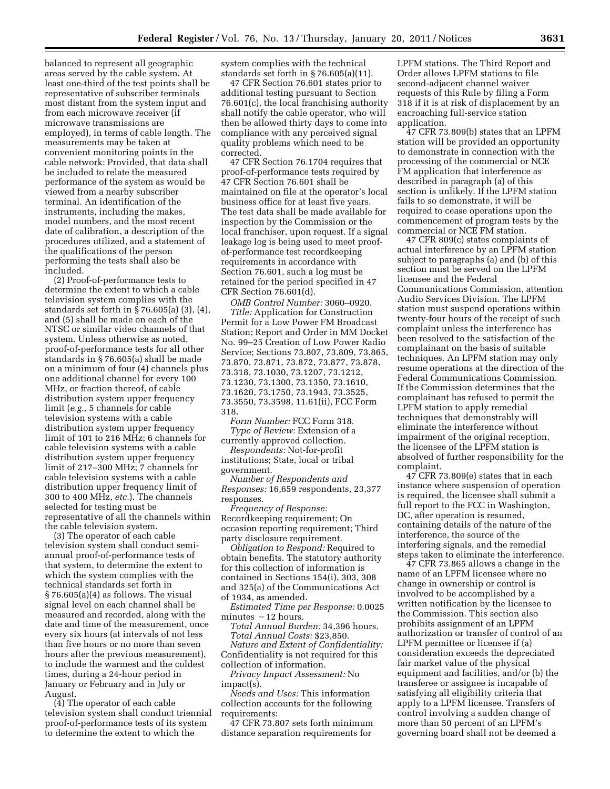balanced to represent all geographic areas served by the cable system. At least one-third of the test points shall be representative of subscriber terminals most distant from the system input and from each microwave receiver (if microwave transmissions are employed), in terms of cable length. The measurements may be taken at convenient monitoring points in the cable network: Provided, that data shall be included to relate the measured performance of the system as would be viewed from a nearby subscriber terminal. An identification of the instruments, including the makes, model numbers, and the most recent date of calibration, a description of the procedures utilized, and a statement of the qualifications of the person performing the tests shall also be included.

(2) Proof-of-performance tests to determine the extent to which a cable television system complies with the standards set forth in § 76.605(a) (3), (4), and (5) shall be made on each of the NTSC or similar video channels of that system. Unless otherwise as noted, proof-of-performance tests for all other standards in § 76.605(a) shall be made on a minimum of four (4) channels plus one additional channel for every 100 MHz, or fraction thereof, of cable distribution system upper frequency limit (*e.g.,* 5 channels for cable television systems with a cable distribution system upper frequency limit of 101 to 216 MHz; 6 channels for cable television systems with a cable distribution system upper frequency limit of 217–300 MHz; 7 channels for cable television systems with a cable distribution upper frequency limit of 300 to 400 MHz, *etc.*). The channels selected for testing must be representative of all the channels within the cable television system.

(3) The operator of each cable television system shall conduct semiannual proof-of-performance tests of that system, to determine the extent to which the system complies with the technical standards set forth in § 76.605(a)(4) as follows. The visual signal level on each channel shall be measured and recorded, along with the date and time of the measurement, once every six hours (at intervals of not less than five hours or no more than seven hours after the previous measurement), to include the warmest and the coldest times, during a 24-hour period in January or February and in July or August.

(4) The operator of each cable television system shall conduct triennial proof-of-performance tests of its system to determine the extent to which the

system complies with the technical standards set forth in § 76.605(a)(11).

47 CFR Section 76.601 states prior to additional testing pursuant to Section 76.601(c), the local franchising authority shall notify the cable operator, who will then be allowed thirty days to come into compliance with any perceived signal quality problems which need to be corrected.

47 CFR Section 76.1704 requires that proof-of-performance tests required by 47 CFR Section 76.601 shall be maintained on file at the operator's local business office for at least five years. The test data shall be made available for inspection by the Commission or the local franchiser, upon request. If a signal leakage log is being used to meet proofof-performance test recordkeeping requirements in accordance with Section 76.601, such a log must be retained for the period specified in 47 CFR Section 76.601(d).

*OMB Control Number:* 3060–0920. *Title:* Application for Construction Permit for a Low Power FM Broadcast Station; Report and Order in MM Docket No. 99–25 Creation of Low Power Radio Service; Sections 73.807, 73.809, 73.865, 73.870, 73.871, 73.872, 73.877, 73.878, 73.318, 73.1030, 73.1207, 73.1212, 73.1230, 73.1300, 73.1350, 73.1610, 73.1620, 73.1750, 73.1943, 73.3525, 73.3550, 73.3598, 11.61(ii), FCC Form 318.

*Form Number:* FCC Form 318. *Type of Review:* Extension of a currently approved collection.

*Respondents:* Not-for-profit institutions; State, local or tribal government.

*Number of Respondents and Responses:* 16,659 respondents, 23,377 responses.

*Frequency of Response:*  Recordkeeping requirement; On occasion reporting requirement; Third party disclosure requirement.

*Obligation to Respond:* Required to obtain benefits. The statutory authority for this collection of information is contained in Sections 154(i), 303, 308 and 325(a) of the Communications Act of 1934, as amended.

*Estimated Time per Response:* 0.0025 minutes  $-12$  hours.

*Total Annual Burden:* 34,396 hours. *Total Annual Costs:* \$23,850.

*Nature and Extent of Confidentiality:*  Confidentiality is not required for this collection of information.

*Privacy Impact Assessment:* No impact(s).

*Needs and Uses:* This information collection accounts for the following requirements:

47 CFR 73.807 sets forth minimum distance separation requirements for

LPFM stations. The Third Report and Order allows LPFM stations to file second-adjacent channel waiver requests of this Rule by filing a Form 318 if it is at risk of displacement by an encroaching full-service station application.

47 CFR 73.809(b) states that an LPFM station will be provided an opportunity to demonstrate in connection with the processing of the commercial or NCE FM application that interference as described in paragraph (a) of this section is unlikely. If the LPFM station fails to so demonstrate, it will be required to cease operations upon the commencement of program tests by the commercial or NCE FM station.

47 CFR 809(c) states complaints of actual interference by an LPFM station subject to paragraphs (a) and (b) of this section must be served on the LPFM licensee and the Federal Communications Commission, attention Audio Services Division. The LPFM station must suspend operations within twenty-four hours of the receipt of such complaint unless the interference has been resolved to the satisfaction of the complainant on the basis of suitable techniques. An LPFM station may only resume operations at the direction of the Federal Communications Commission. If the Commission determines that the complainant has refused to permit the LPFM station to apply remedial techniques that demonstrably will eliminate the interference without impairment of the original reception, the licensee of the LPFM station is absolved of further responsibility for the complaint.

47 CFR 73.809(e) states that in each instance where suspension of operation is required, the licensee shall submit a full report to the FCC in Washington, DC, after operation is resumed, containing details of the nature of the interference, the source of the interfering signals, and the remedial steps taken to eliminate the interference.

47 CFR 73.865 allows a change in the name of an LPFM licensee where no change in ownership or control is involved to be accomplished by a written notification by the licensee to the Commission. This section also prohibits assignment of an LPFM authorization or transfer of control of an LPFM permittee or licensee if (a) consideration exceeds the depreciated fair market value of the physical equipment and facilities, and/or (b) the transferee or assignee is incapable of satisfying all eligibility criteria that apply to a LPFM licensee. Transfers of control involving a sudden change of more than 50 percent of an LPFM's governing board shall not be deemed a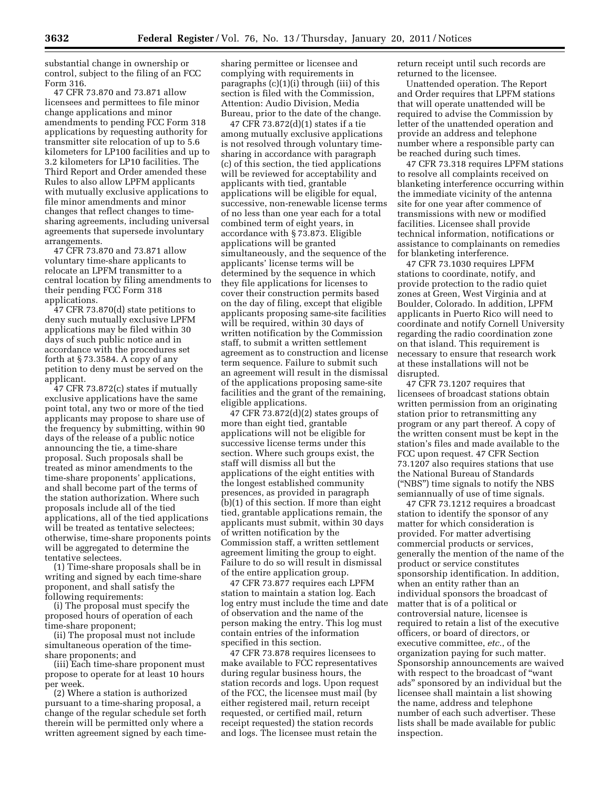substantial change in ownership or control, subject to the filing of an FCC Form 316.

47 CFR 73.870 and 73.871 allow licensees and permittees to file minor change applications and minor amendments to pending FCC Form 318 applications by requesting authority for transmitter site relocation of up to 5.6 kilometers for LP100 facilities and up to 3.2 kilometers for LP10 facilities. The Third Report and Order amended these Rules to also allow LPFM applicants with mutually exclusive applications to file minor amendments and minor changes that reflect changes to timesharing agreements, including universal agreements that supersede involuntary arrangements.

47 CFR 73.870 and 73.871 allow voluntary time-share applicants to relocate an LPFM transmitter to a central location by filing amendments to their pending FCC Form 318 applications.

47 CFR 73.870(d) state petitions to deny such mutually exclusive LPFM applications may be filed within 30 days of such public notice and in accordance with the procedures set forth at  $\S 73.3584$ . A copy of any petition to deny must be served on the applicant.

47 CFR 73.872(c) states if mutually exclusive applications have the same point total, any two or more of the tied applicants may propose to share use of the frequency by submitting, within 90 days of the release of a public notice announcing the tie, a time-share proposal. Such proposals shall be treated as minor amendments to the time-share proponents' applications, and shall become part of the terms of the station authorization. Where such proposals include all of the tied applications, all of the tied applications will be treated as tentative selectees; otherwise, time-share proponents points will be aggregated to determine the tentative selectees.

(1) Time-share proposals shall be in writing and signed by each time-share proponent, and shall satisfy the following requirements:

(i) The proposal must specify the proposed hours of operation of each time-share proponent;

(ii) The proposal must not include simultaneous operation of the timeshare proponents; and

(iii) Each time-share proponent must propose to operate for at least 10 hours per week.

(2) Where a station is authorized pursuant to a time-sharing proposal, a change of the regular schedule set forth therein will be permitted only where a written agreement signed by each timesharing permittee or licensee and complying with requirements in paragraphs (c)(1)(i) through (iii) of this section is filed with the Commission, Attention: Audio Division, Media Bureau, prior to the date of the change.

47 CFR 73.872(d)(1) states if a tie among mutually exclusive applications is not resolved through voluntary timesharing in accordance with paragraph (c) of this section, the tied applications will be reviewed for acceptability and applicants with tied, grantable applications will be eligible for equal, successive, non-renewable license terms of no less than one year each for a total combined term of eight years, in accordance with § 73.873. Eligible applications will be granted simultaneously, and the sequence of the applicants' license terms will be determined by the sequence in which they file applications for licenses to cover their construction permits based on the day of filing, except that eligible applicants proposing same-site facilities will be required, within 30 days of written notification by the Commission staff, to submit a written settlement agreement as to construction and license term sequence. Failure to submit such an agreement will result in the dismissal of the applications proposing same-site facilities and the grant of the remaining, eligible applications.

47 CFR 73.872 $(d)(2)$  states groups of more than eight tied, grantable applications will not be eligible for successive license terms under this section. Where such groups exist, the staff will dismiss all but the applications of the eight entities with the longest established community presences, as provided in paragraph (b)(1) of this section. If more than eight tied, grantable applications remain, the applicants must submit, within 30 days of written notification by the Commission staff, a written settlement agreement limiting the group to eight. Failure to do so will result in dismissal of the entire application group.

47 CFR 73.877 requires each LPFM station to maintain a station log. Each log entry must include the time and date of observation and the name of the person making the entry. This log must contain entries of the information specified in this section.

47 CFR 73.878 requires licensees to make available to FCC representatives during regular business hours, the station records and logs. Upon request of the FCC, the licensee must mail (by either registered mail, return receipt requested, or certified mail, return receipt requested) the station records and logs. The licensee must retain the

return receipt until such records are returned to the licensee.

Unattended operation. The Report and Order requires that LPFM stations that will operate unattended will be required to advise the Commission by letter of the unattended operation and provide an address and telephone number where a responsible party can be reached during such times.

47 CFR 73.318 requires LPFM stations to resolve all complaints received on blanketing interference occurring within the immediate vicinity of the antenna site for one year after commence of transmissions with new or modified facilities. Licensee shall provide technical information, notifications or assistance to complainants on remedies for blanketing interference.

47 CFR 73.1030 requires LPFM stations to coordinate, notify, and provide protection to the radio quiet zones at Green, West Virginia and at Boulder, Colorado. In addition, LPFM applicants in Puerto Rico will need to coordinate and notify Cornell University regarding the radio coordination zone on that island. This requirement is necessary to ensure that research work at these installations will not be disrupted.

47 CFR 73.1207 requires that licensees of broadcast stations obtain written permission from an originating station prior to retransmitting any program or any part thereof. A copy of the written consent must be kept in the station's files and made available to the FCC upon request. 47 CFR Section 73.1207 also requires stations that use the National Bureau of Standards (''NBS'') time signals to notify the NBS semiannually of use of time signals.

47 CFR 73.1212 requires a broadcast station to identify the sponsor of any matter for which consideration is provided. For matter advertising commercial products or services, generally the mention of the name of the product or service constitutes sponsorship identification. In addition, when an entity rather than an individual sponsors the broadcast of matter that is of a political or controversial nature, licensee is required to retain a list of the executive officers, or board of directors, or executive committee, *etc.*, of the organization paying for such matter. Sponsorship announcements are waived with respect to the broadcast of ''want ads'' sponsored by an individual but the licensee shall maintain a list showing the name, address and telephone number of each such advertiser. These lists shall be made available for public inspection.